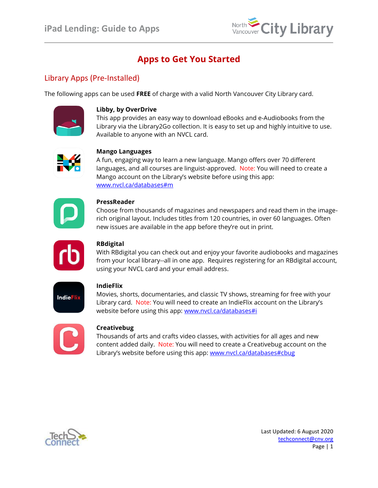

# **Apps to Get You Started**

## Library Apps (Pre-Installed)

The following apps can be used **FREE** of charge with a valid North Vancouver City Library card.



#### **Libby, by OverDrive**

This app provides an easy way to download eBooks and e-Audiobooks from the Library via the Library2Go collection. It is easy to set up and highly intuitive to use. Available to anyone with an NVCL card.



#### **Mango Languages**

A fun, engaging way to learn a new language. Mango offers over 70 different languages, and all courses are linguist-approved.Note: You will need to create a Mango account on the Library's website before using this app: [www.nvcl.ca/databases#m](http://www.nvcl.ca/databases#m)



#### **PressReader**

Choose from thousands of magazines and newspapers and read them in the imagerich original layout. Includes titles from 120 countries, in over 60 languages. Often new issues are available in the app before they're out in print.



#### **[RBdigital](http://northvancouvercitybc.oneclickdigital.com/)**

With RBdigital you can check out and enjoy your favorite audiobooks and magazines from your local library--all in one app. Requires registering for an RBdigital account, using your NVCL card and your email address.



#### **IndieFlix**

Movies, shorts, documentaries, and classic TV shows, streaming for free with your Library card.Note: You will need to create an IndieFlix account on the Library's website before using this app: [www.nvcl.ca/databases#i](http://www.nvcl.ca/databases#i)



#### **Creativebug**

Thousands of arts and crafts video classes, with activities for all ages and new content added daily.Note: You will need to create a Creativebug account on the Library's website before using this app: [www.nvcl.ca/databases#cbug](http://www.nvcl.ca/databases#cbug)

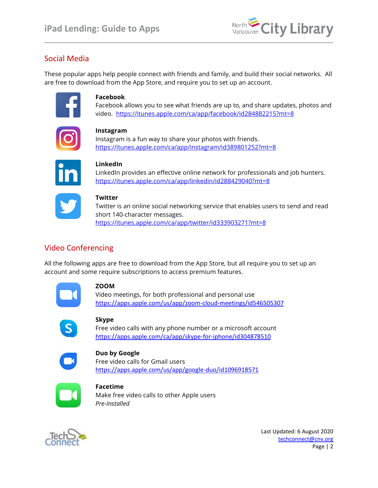

# Social Media

These popular apps help people connect with friends and family, and build their social networks. All are free to download from the App Store, and require you to set up an account.



#### **Facebook**

Facebook allows you to see what friends are up to, and share updates, photos and video. <https://itunes.apple.com/ca/app/facebook/id284882215?mt=8>



#### **Instagram**

Instagram is a fun way to share your photos with friends. <https://itunes.apple.com/ca/app/instagram/id389801252?mt=8>



#### **LinkedIn**

LinkedIn provides an effective online network for professionals and job hunters. <https://itunes.apple.com/ca/app/linkedin/id288429040?mt=8>



#### **Twitter**

Twitter is an online social networking service that enables users to send and read short 140-character messages. <https://itunes.apple.com/ca/app/twitter/id333903271?mt=8>

# Video Conferencing

All the following apps are free to download from the App Store, but all require you to set up an account and some require subscriptions to access premium features.



#### **ZOOM**

Video meetings, for both professional and personal use <https://apps.apple.com/us/app/zoom-cloud-meetings/id546505307>



#### **Skype**

Free video calls with any phone number or a microsoft account <https://apps.apple.com/ca/app/skype-for-iphone/id304878510>



#### **Duo by Google**

Free video calls for Gmail users <https://apps.apple.com/us/app/google-duo/id1096918571>



#### **Facetime**  Make free video calls to other Apple users *Pre-Installed*



Last Updated: 6 August 2020 [techconnect@cnv.org](mailto:techconnect@cnv.org) Page | 2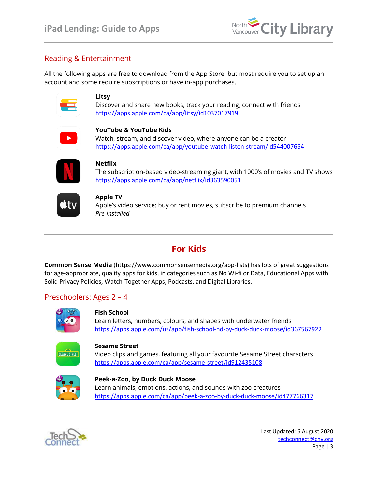

## Reading & Entertainment

All the following apps are free to download from the App Store, but most require you to set up an account and some require subscriptions or have in-app purchases.



#### **Litsy**

Discover and share new books, track your reading, connect with friends <https://apps.apple.com/ca/app/litsy/id1037017919>



#### **YouTube & YouTube Kids**

Watch, stream, and discover video, where anyone can be a creator <https://apps.apple.com/ca/app/youtube-watch-listen-stream/id544007664>



#### **Netflix**

The subscription-based video-streaming giant, with 1000's of movies and TV shows <https://apps.apple.com/ca/app/netflix/id363590051>



#### **Apple TV+**

Apple's video service: buy or rent movies, subscribe to premium channels. *Pre-Installed*

# **For Kids**

**Common Sense Media** ([https://www.commonsensemedia.org/app-lists\)](https://www.commonsensemedia.org/app-lists) has lots of great suggestions for age-appropriate, quality apps for kids, in categories such as No Wi-fi or Data, Educational Apps with Solid Privacy Policies, Watch-Together Apps, Podcasts, and Digital Libraries.

### Preschoolers: Ages 2 – 4



#### **Fish School**

Learn letters, numbers, colours, and shapes with underwater friends <https://apps.apple.com/us/app/fish-school-hd-by-duck-duck-moose/id367567922>



#### **Sesame Street**

Video clips and games, featuring all your favourite Sesame Street characters <https://apps.apple.com/ca/app/sesame-street/id912435108>



#### **Peek-a-Zoo, by Duck Duck Moose** Learn animals, emotions, actions, and sounds with zoo creatures <https://apps.apple.com/ca/app/peek-a-zoo-by-duck-duck-moose/id477766317>



Last Updated: 6 August 2020 [techconnect@cnv.org](mailto:techconnect@cnv.org) Page | 3